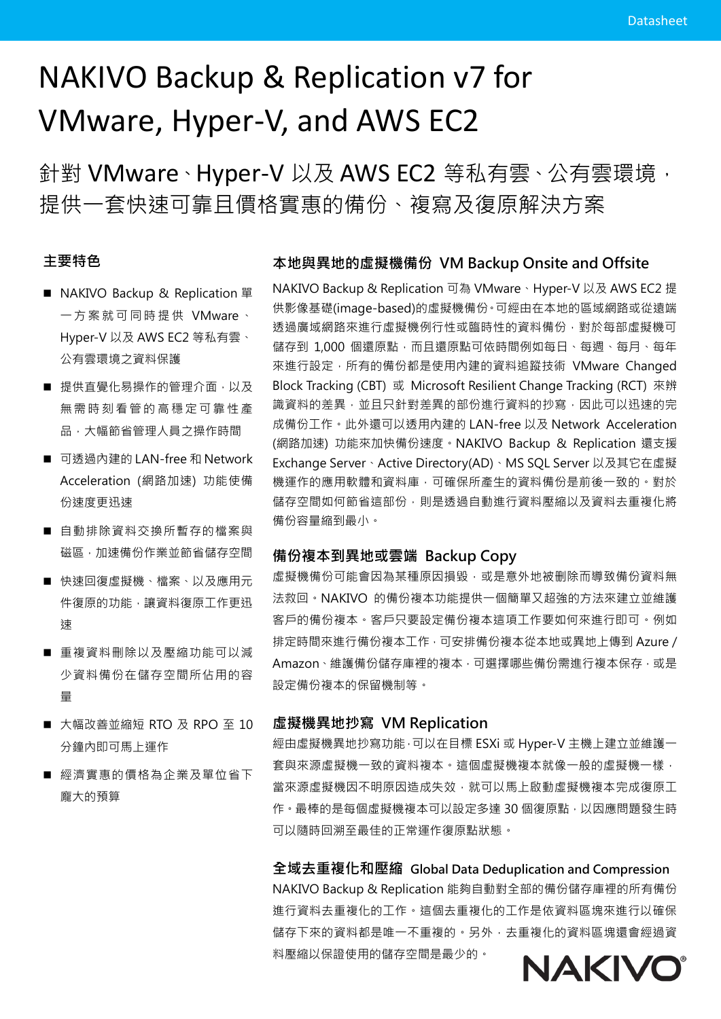# NAKIVO Backup & Replication v7 for VMware, Hyper-V, and AWS EC2

針對 VMware、Hyper-V 以及 AWS EC2 等私有雲、公有雲環境, 提供一套快速可靠且價格實惠的備份、複寫及復原解決方案

# 主要特色

- NAKIVO Backup & Replication 單 一方案就可 同時提供 VMware、 Hyper-V 以及 AWS EC2 等私有雲、 公有雲環境之資料保護
- 提供直覺化易操作的管理介面,以及 無需時刻看管的高穩定可靠性產 品,大幅節省管理人員之操作時間
- 可透過內建的 LAN-free 和 Network Acceleration (網路加速) 功能使備 份速度更迅速
- 自動排除資料交換所暫存的檔案與 磁區,加速備份作業並節省儲存空間
- 快速回復虚擬機、檔案、以及應用元 件復原的功能,讓資料復原工作更迅 速
- 重複資料刪除以及壓縮功能可以減 少資料備份在儲存空間所佔用的容 量
- 大幅改善並縮短 RTO 及 RPO 至 10 分鐘內即可馬上運作
- 經濟實惠的價格為企業及單位省下 龐大的預算

#### 本地與異地的虛擬機備份 VM Backup Onsite and Offsite

NAKIVO Backup & Replication 可為 VMware、Hyper-V 以及 AWS EC2 提 供影像基礎(image-based)的虛擬機備份。可經由在本地的區域網路或從遠端 透過廣域網路來進行虛擬機例行性或臨時性的資料備份,對於每部虛擬機可 儲存到 1,000 個還原點,而且還原點可依時間例如每日、每週、每月、每年 來進行設定,所有的備份都是使用內建的資料追蹤技術 VMware Changed Block Tracking (CBT) 或 Microsoft Resilient Change Tracking (RCT) 來辨 識資料的差異,並且只針對差異的部份進行資料的抄寫,因此可以迅速的完 成備份工作。此外還可以透用內建的 LAN-free 以及 Network Acceleration (網路加速) 功能來加快備份速度。NAKIVO Backup & Replication 還支援 Exchange Server、Active Directory(AD)、MS SQL Server 以及其它在虛擬 機運作的應用軟體和資料庫,可確保所產生的資料備份是前後一致的。對於 儲存空間如何節省這部份,則是透過自動進行資料壓縮以及資料去重複化將 備份容量縮到最小。

#### 備份複本到異地或雲端 Backup Copy

虚擬機備份可能會因為某種原因損毀,或是意外地被删除而導致備份資料無 法救回。NAKIVO 的備份複本功能提供一個簡單又超強的方法來建立並維護 客戶的備份複本。客戶只要設定備份複本這項工作要如何來進行即可。例如 排定時間來進行備份複本工作,可安排備份複本從本地或異地上傳到 Azure / Amazon、維護備份儲存庫裡的複本,可選擇哪些備份需進行複本保存,或是 設定備份複本的保留機制等。

#### 虛擬機異地抄寫 VM Replication

經由虛擬機異地抄寫功能,可以在目標 ESXi 或 Hyper-V 主機上建立並維護一 套與來源虛擬機一致的資料複本。這個虛擬機複本就像一般的虛擬機一樣, 當來源虛擬機因不明原因造成失效,就可以馬上啟動虛擬機複本完成復原工 作。最棒的是每個虛擬機複本可以設定多達 30個復原點,以因應問題發生時 可以隨時回溯至最佳的正常運作復原點狀態。

全域去重複化和壓縮 Global Data Deduplication and Compression NAKIVO Backup & Replication 能夠自動對全部的備份儲存庫裡的所有備份 進行資料去重複化的工作。這個去重複化的工作是依資料區塊來進行以確保 儲存下來的資料都是唯一不重複的。另外,去重複化的資料區塊還會經過資 料壓縮以保證使用的儲存空間是最少的。

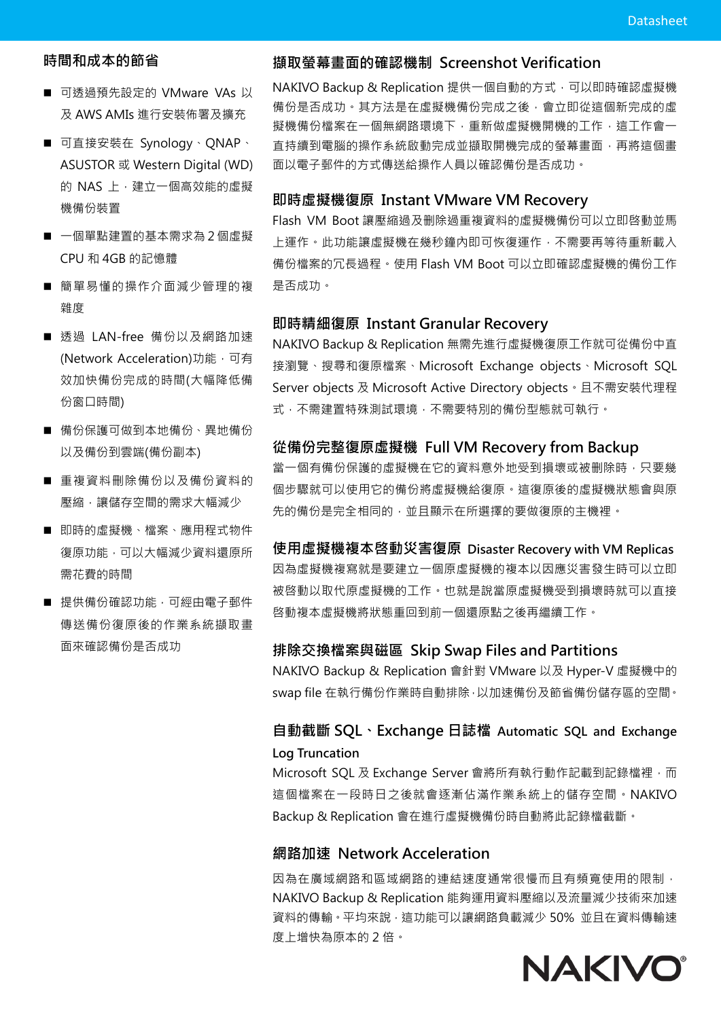# 時間和成本的節省

- 可诱渦預先設定的 VMware VAs 以 及 AWS AMIs 進行安裝佈署及擴充
- 可直接安裝在 Synology、QNAP、 ASUSTOR 或 Western Digital (WD) 的 NAS 上,建立一個高效能的虛擬 機備份裝置
- 一個單點建置的基本需求為 2 個虛擬 CPU 和 4GB 的記憶體
- 簡單易懂的操作介面減少管理的複 雜度
- 透過 LAN-free 備份以及網路加速 (Network Acceleration)功能,可有 效加快備份完成的時間(大幅降低備 份窗口時間)
- 備份保護可做到本地備份、異地備份 以及備份到雲端(備份副本)
- 重複資料刪除備份以及備份資料的 **壓縮,讓儲存空間的需求大幅減少**
- 即時的虚擬機、檔案、應用程式物件 復原功能,可以大幅減少資料還原所 需花費的時間
- 提供備份確認功能,可經由電子郵件 傳送備份復原後的作業系統擷取畫 面來確認備份是否成功

#### 擷取螢幕畫面的確認機制 Screenshot Verification

NAKIVO Backup & Replication 提供一個自動的方式,可以即時確認虛擬機 備份是否成功。其方法是在虛擬機備份完成之後,會立即從這個新完成的虛 擬機備份檔案在一個無網路環境下,重新做虛擬機開機的工作,這工作會一 直持續到電腦的操作系統啟動完成並擷取開機完成的螢幕畫面,再將這個畫 面以電子郵件的方式傳送給操作人員以確認備份是否成功。

#### 即時虛擬機復原 Instant VMware VM Recovery

Flash VM Boot 讓壓縮過及删除過重複資料的虛擬機備份可以立即啓動並馬 上運作。此功能讓虛擬機在幾秒鐘內即可恢復運作,不需要再等待重新載入 備份檔案的冗長過程。使用 Flash VM Boot 可以立即確認虛擬機的備份工作 是否成功。

#### 即時精細復原 Instant Granular Recovery

NAKIVO Backup & Replication 無需先進行虛擬機復原工作就可從備份中直 接瀏覽、搜尋和復原檔案、Microsoft Exchange objects、Microsoft SQL Server objects 及 Microsoft Active Directory objects。且不需安裝代理程 式,不需建置特殊測試環境,不需要特別的備份型態就可執行。

#### 從備份完整復原虛擬機 Full VM Recovery from Backup

當一個有備份保護的虛擬機在它的資料意外地受到損壞或被删除時,只要幾 個步驟就可以使用它的備份將虛擬機給復原。這復原後的虛擬機狀態會與原 先的備份是完全相同的,並且顯示在所選擇的要做復原的主機裡。

使用虛擬機複本啓動災害復原 Disaster Recovery with VM Replicas 因為虛擬機複寫就是要建立一個原虛擬機的複本以因應災害發生時可以立即 被啓動以取代原虛擬機的工作。也就是說當原虛擬機受到損壞時就可以直接 啓動複本虛擬機將狀態重回到前一個還原點之後再繼續工作。

#### 排除交換檔案與磁區 Skip Swap Files and Partitions

NAKIVO Backup & Replication 會針對 VMware 以及 Hyper-V 虛擬機中的 swap file 在執行備份作業時自動排除,以加速備份及節省備份儲存區的空間。

# 自動截斷 SQL、Exchange 日誌檔 Automatic SQL and Exchange Log Truncation

Microsoft SQL 及 Exchange Server 會將所有執行動作記載到記錄檔裡,而 這個檔案在一段時日之後就會逐漸佔滿作業系統上的儲存空間。NAKIVO Backup & Replication 會在進行虛擬機備份時自動將此記錄檔截斷。

#### 網路加速 Network Acceleration

因為在廣域網路和區域網路的連結速度通常很慢而且有頻寬使用的限制, NAKIVO Backup & Replication 能夠運用資料壓縮以及流量減少技術來加速 資料的傳輸。平均來說,這功能可以讓網路負載減少 50% 並且在資料傳輸速 度上增快為原本的 2 倍。

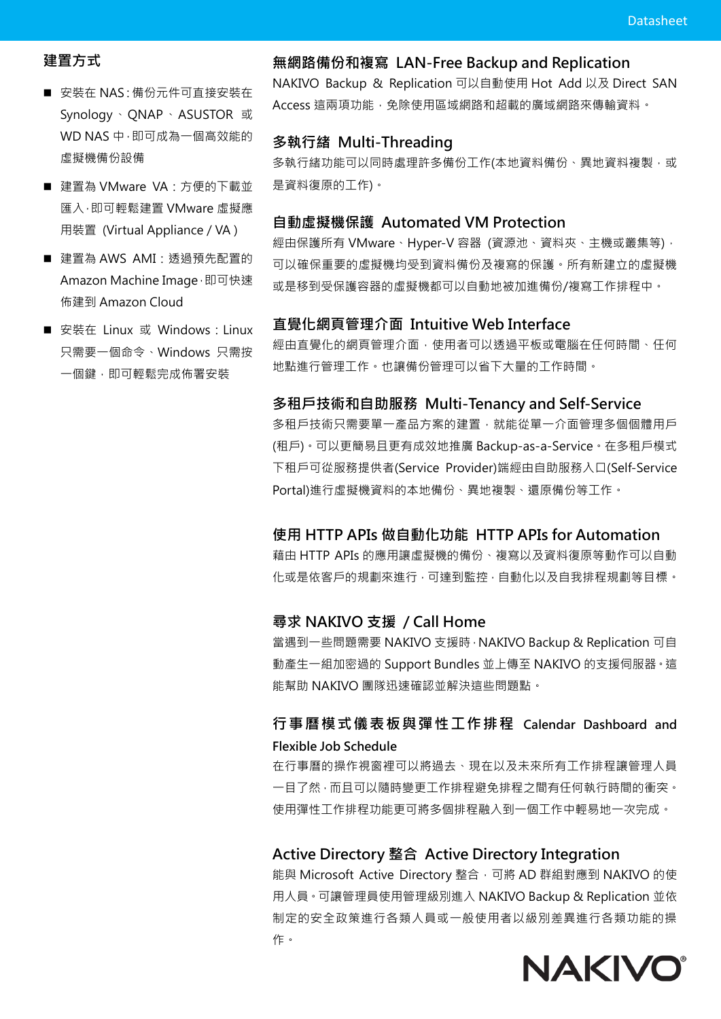# 建置方式

- 安裝在 NAS: 備份元件可直接安裝在 Synology、QNAP、ASUSTOR 或 WD NAS 中, 即可成為一個高效能的 虛擬機備份設備
- 建置為 VMware VA: 方便的下載並 匯入,即可輕鬆建置 VMware 虛擬應 用裝置 (Virtual Appliance / VA )
- 建置為 AWS AMI: 透過預先配置的 Amazon Machine Image, 即可快速 佈建到 Amazon Cloud
- 安裝在 Linux 或 Windows: Linux 只需要一個命令、Windows 只需按 一個鍵,即可輕鬆完成佈署安裝

## 無網路備份和複寫 LAN-Free Backup and Replication

NAKIVO Backup & Replication 可以自動使用 Hot Add 以及 Direct SAN Access 這兩項功能,免除使用區域網路和超載的廣域網路來傳輸資料。

#### 多執行緒 Multi-Threading

多執行緒功能可以同時處理許多備份工作(本地資料備份、異地資料複製,或 是資料復原的工作)。

#### 自動虛擬機保護 Automated VM Protection

經由保護所有 VMware、Hyper-V 容器 (資源池、資料夾、主機或叢集等), 可以確保重要的虛擬機均受到資料備份及複寫的保護。所有新建立的虛擬機 或是移到受保護容器的虛擬機都可以自動地被加進備份/複寫工作排程中。

#### 直覺化網頁管理介面 Intuitive Web Interface

經由直覺化的網頁管理介面,使用者可以透過平板或電腦在任何時間、任何 地點進行管理工作。也讓備份管理可以省下大量的工作時間。

#### 多租戶技術和自助服務 Multi-Tenancy and Self-Service

多租戶技術只需要單一產品方案的建置,就能從單一介面管理多個個體用戶 (租戶)。可以更簡易且更有成效地推廣 Backup-as-a-Service。在多租戶模式 下租戶可從服務提供者(Service Provider)端經由自助服務入口(Self-Service Portal)進行虛擬機資料的本地備份、異地複製、還原備份等工作。

#### 使用 HTTP APIs 做自動化功能 HTTP APIs for Automation

藉由 HTTP APIs 的應用讓虛擬機的備份、複寫以及資料復原等動作可以自動 化或是依客戶的規劃來進行,可達到監控,自動化以及自我排程規劃等目標。

#### 尋求 NAKIVO 支援 / Call Home

當遇到一些問題需要 NAKIVO 支援時,NAKIVO Backup & Replication 可自 動產生一組加密過的 Support Bundles 並上傳至 NAKIVO 的支援伺服器。這 能幫助 NAKIVO 團隊迅速確認並解決這些問題點。

# 行事曆模式儀表板與彈性工作排程 Calendar Dashboard and Flexible Job Schedule

在行事曆的操作視窗裡可以將過去、現在以及未來所有工作排程讓管理人員 一目了然,而且可以隨時變更工作排程避免排程之間有任何執行時間的衝突。 使用彈性工作排程功能更可將多個排程融入到一個工作中輕易地一次完成。

## Active Directory 整合 Active Directory Integration

能與 Microsoft Active Directory 整合,可將 AD 群組對應到 NAKIVO 的使 用人員。可讓管理員使用管理級別進入 NAKIVO Backup & Replication 並依 制定的安全政策進行各類人員或一般使用者以級別差異進行各類功能的操 作。